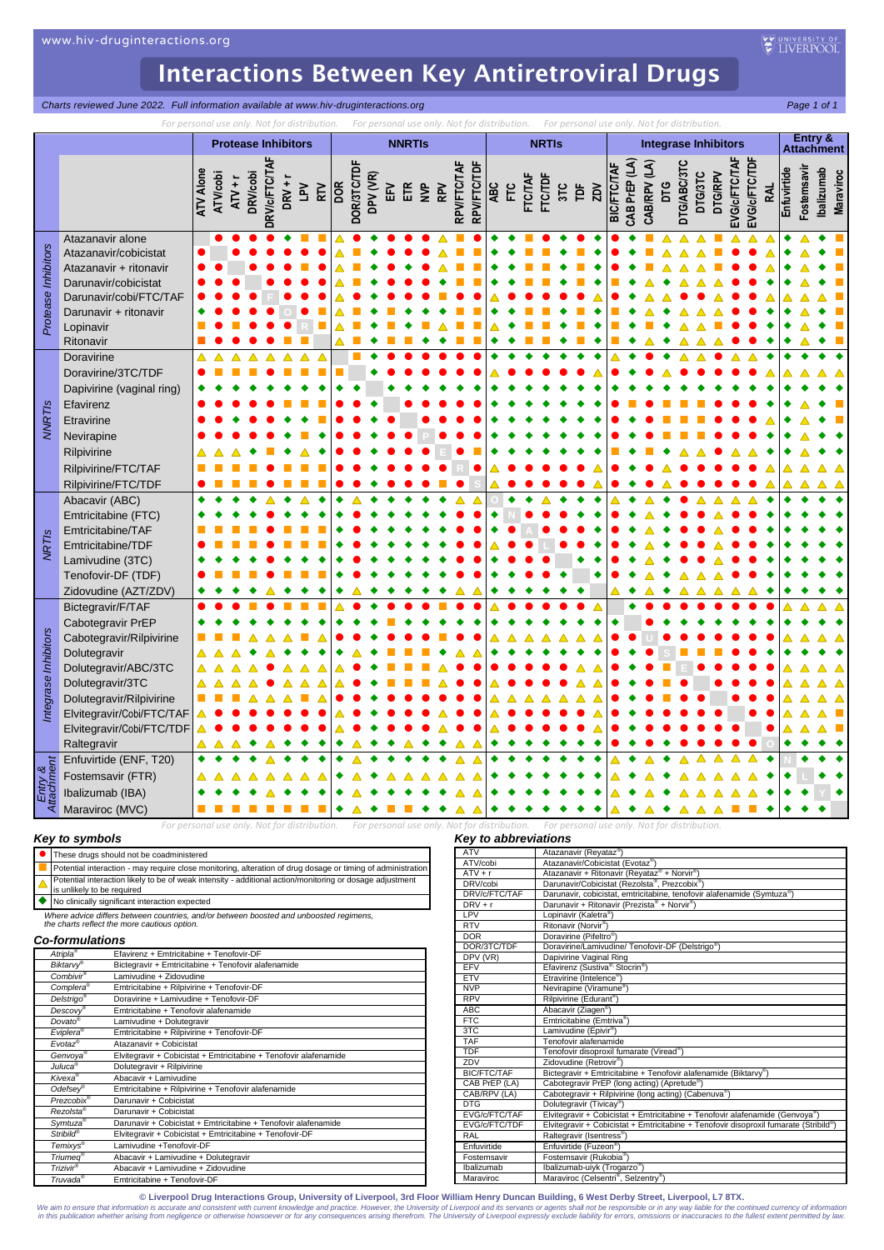*Protease Inhibitors*

Prote

*NNRTIs*

*NRTIs*

*Integrase Inhibitors*

Inhibit

*Entry & Attachment*

## Interactions Between Key Antiretroviral Drugs

**Charts reviewed June 2022. Full information available at www.hiv-druginteractions.org Page 1 of 1 Page 1 of 1** 

*For personal use only. Not for distribution. For personal use only. Not for distribution. For personal use only. Not for distribution.* **Protease Inhibitors**  $\begin{vmatrix} \cdot & \cdot & \cdot \\ \cdot & \cdot & \cdot \\ \cdot & \cdot & \cdot \end{vmatrix}$  **Integrase Inhibitors Entry &<br>Attachment ATV Alone ATV/cobi ATV + r DRV/cobi DRV/c/FTC/TAF DRV + r LPV RTV DOR DOR/3TC/TDF DPV (VR)** EK )<br>ETR<br>BPV **RPV/FTC/TAF RPV/FTC/TDF ABC FTC FTC/TAF FTC/TDF 3TC TDF ZDV** BIC/FTC/TAF<br>CAB PrEP (LA)<br>CAB/RPV (LA) **CAB PrEP (LA) CAB/RPV (LA) DTG DTG/ABC/3TC DTG/3TC DTG/RPV EVG/c/FTC/TAF EVG/c/FTC/TDF RAL Enfuvirtide** Fostemsavi **Ibalizumab** Atazanavir alone │ │ ● ● ● ● ◆ ◆ ■ ■│△ ● ◆ ● ● ● △ ■ ●│◆ ◆ ■ ● ◆ ● ◆│● ◆ ■ △ △ △ ■ △ △ △│◆ △ ◆ ■ Atazanavir/cobicistat Atazanavir + ritonavir Darunavir/cobicistat Darunavir/cobi/FTC/TAF Darunavir + ritonavir Lopinavir **Rome (RRI) I (RRI) I (RRI) I (RRI) I (RRI) I (RRI) I (RRI) I (RRI) I (RRI) I (RRI) I (RRI) I (RRI) I (** Ritonavir Doravirine Doravirine/3TC/TDF Dapivirine (vaginal ring) Efavirenz Etravirine Nevirapine **Intervention of the experimental particle of the experimental particle of the experimental particle of the experimental particle of the experimental particle of the experimental particle of the experimental par** Rilpivirine **E** Rilpivirine/FTC/TAF **R**  $Rilpivirine/FTC/TDF$ Abacavir (ABC) **O** Emtricitabine (FTC) Emtricitabine/TAF Emtricitabine/TDF **L** Lamivudine (3TC) Tenofovir-DF (TDF) Zidovudine (AZT/ZDV) Bictegravir/F/TAF Cabotegravir PrEP Cabotegravir/Rilpivirine **U** Dolutegravir **S** Dolutegravir/ABC/3TC Dolutegravir/3TC Dolutegravir/Rilpivirine Elvitegravir/Cobi/FTC/TAF Elvitegravir/Cobi/FTC/TDF Raltegravir **O** Enfuvirtide (ENF, T20) **N** Fostemsavir (FTR) **L** Ibalizumab (IBA) **Y** Maraviroc (MVC)

*For personal use only. Not for distribution. For personal use only. Not for distribution. For personal use only. Not for distribution.*

### *Key to symbols*

|                                                                                                                                        | These drugs should not be coadministered                                                                                               |  |
|----------------------------------------------------------------------------------------------------------------------------------------|----------------------------------------------------------------------------------------------------------------------------------------|--|
|                                                                                                                                        | Potential interaction - may require close monitoring, alteration of drug dosage or timing of administration                            |  |
|                                                                                                                                        | Potential interaction likely to be of weak intensity - additional action/monitoring or dosage adjustment<br>is unlikely to be required |  |
|                                                                                                                                        | No clinically significant interaction expected                                                                                         |  |
| Where advice differs between countries, and/or between boosted and unboosted regimens,<br>the charts reflect the more cautious option. |                                                                                                                                        |  |

#### *Co-formulations*

| Atripla <sup>®</sup>    | Efavirenz + Emtricitabine + Tenofovir-DF                          |  |  |
|-------------------------|-------------------------------------------------------------------|--|--|
| <b>Biktarvv®</b>        | Bictegravir + Emtricitabine + Tenofovir alafenamide               |  |  |
| Combivir®               | Lamivudine + Zidovudine                                           |  |  |
| Complera <sup>®</sup>   | Emtricitabine + Rilpivirine + Tenofovir-DF                        |  |  |
| Delstrigo <sup>®</sup>  | Doravirine + Lamivudine + Tenofovir-DF                            |  |  |
| Descovy®                | Emtricitabine + Tenofovir alafenamide                             |  |  |
| Dovato®                 | Lamivudine + Dolutegravir                                         |  |  |
| Eviplera®               | Emtricitabine + Rilpivirine + Tenofovir-DF                        |  |  |
| $Evotaz^{\circledcirc}$ | Atazanavir + Cobicistat                                           |  |  |
| Genvoya <sup>®</sup>    | Elvitegravir + Cobicistat + Emtricitabine + Tenofovir alafenamide |  |  |
| Juluca <sup>®</sup>     | Dolutegravir + Rilpivirine                                        |  |  |
| Kivexa®                 | Abacavir + Lamivudine                                             |  |  |
| Odefsey <sup>®</sup>    | Emtricitabine + Rilpivirine + Tenofovir alafenamide               |  |  |
| Prezcobix <sup>®</sup>  | Darunavir + Cobicistat                                            |  |  |
| Rezolsta®               | Darunavir + Cobicistat                                            |  |  |
| Symtuza <sup>®</sup>    | Darunavir + Cobicistat + Emtricitabine + Tenofovir alafenamide    |  |  |
| Stribild®               | Elvitegravir + Cobicistat + Emtricitabine + Tenofovir-DF          |  |  |
| Temixys®                | Lamivudine +Tenofovir-DF                                          |  |  |
| Triumed®                | Abacavir + Lamivudine + Dolutegravir                              |  |  |
| Trizivir®               | Abacavir + Lamivudine + Zidovudine                                |  |  |
| Truvada®                | Emtricitabine + Tenofovir-DF                                      |  |  |

### *Key to abbreviations*

| ATV                | Atazanavir (Reyataz®)                                                                 |
|--------------------|---------------------------------------------------------------------------------------|
| ATV/cobi           | Atazanavir/Cobicistat (Evotaz®)                                                       |
| $ATV + r$          | Atazanavir + Ritonavir (Reyataz® + Norvir®)                                           |
| DRV/cobi           | Darunavir/Cobicistat (Rezolsta®, Prezcobix®)                                          |
| DRV/c/FTC/TAF      | Darunavir, cobicistat, emtricitabine, tenofovir alafenamide (Symtuza®)                |
| $DRV + r$          | Darunavir + Ritonavir (Prezista® + Norvir®)                                           |
| LPV                | Lopinavir (Kaletra®)                                                                  |
| <b>RTV</b>         | Ritonavir (Norvir®)                                                                   |
| <b>DOR</b>         | Doravirine (Pifeltro <sup>®</sup> )                                                   |
| DOR/3TC/TDF        | Doravirine/Lamivudine/ Tenofovir-DF (Delstrigo®)                                      |
| DPV (VR)           | Dapivirine Vaginal Ring                                                               |
| <b>EFV</b>         | Efavirenz (Sustiva® Stocrin®)                                                         |
| <b>ETV</b>         | Etravirine (Intelence®)                                                               |
| <b>NVP</b>         | Nevirapine (Viramune®)                                                                |
| <b>RPV</b>         | Rilpivirine (Edurant <sup>®</sup> )                                                   |
| ABC                | Abacavir (Ziagen <sup>®</sup> )                                                       |
| FTC                | Emtricitabine (Emtriva®)                                                              |
| 3TC                | Lamivudine (Epivir®)                                                                  |
| <b>TAF</b>         | Tenofovir alafenamide                                                                 |
| <b>TDF</b>         | Tenofovir disoproxil fumarate (Viread®)                                               |
| ZDV                | Zidovudine (Retrovir <sup>®</sup> )                                                   |
| <b>BIC/FTC/TAF</b> | Bictegravir + Emtricitabine + Tenofovir alafenamide (Biktarvy®)                       |
| CAB PrEP (LA)      | Cabotegravir PrEP (long acting) (Apretude®)                                           |
| CAB/RPV (LA)       | Cabotegravir + Rilpivirine (long acting) (Cabenuva®)                                  |
| <b>DTG</b>         | Dolutegravir (Tivicay®)                                                               |
| EVG/c/FTC/TAF      | Elvitegravir + Cobicistat + Emtricitabine + Tenofovir alafenamide (Genvoya®)          |
| EVG/c/FTC/TDF      | Elvitegravir + Cobicistat + Emtricitabine + Tenofovir disoproxil fumarate (Stribild®) |
| RAL                | Raltegravir (Isentress®)                                                              |
| Enfuvirtide        | Enfuvirtide (Fuzeon®)                                                                 |
| Fostemsavir        | Fostemsavir (Rukobia®)                                                                |
| Ibalizumab         | Ibalizumab-uiyk (Trogarzo <sup>®</sup> )                                              |
| Maraviroc          | Maraviroc (Celsentri <sup>®</sup> , Selzentry <sup>®</sup> )                          |

**© Liverpool Drug Interactions Group, University of Liverpool, 3rd Floor William Henry Duncan Building, 6 West Derby Street, Liverpool, L7 8TX.**

We aim to ensure that information is accurate and consistent with current knowledge and practice. However, the University of Liverpool and its servants or agents hall not be responsible or in any way lable for the continue

**Maraviroc**